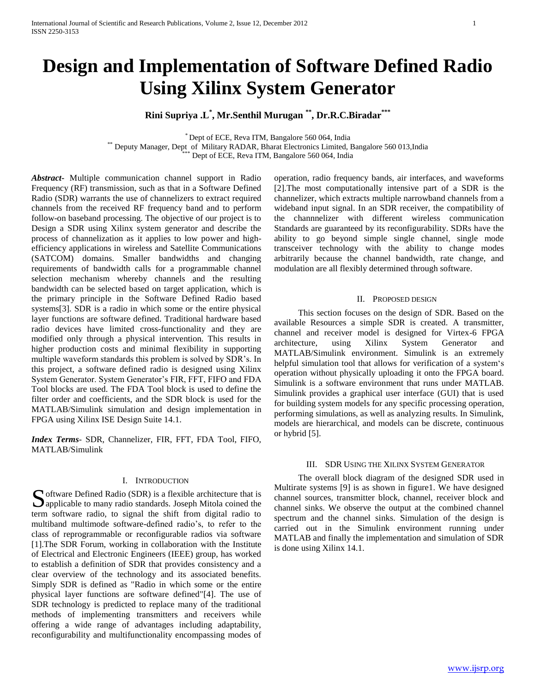# **Design and Implementation of Software Defined Radio Using Xilinx System Generator**

# **Rini Supriya .L\* , Mr.Senthil Murugan \*\* , Dr.R.C.Biradar\*\*\***

\* Dept of ECE, Reva ITM, Bangalore 560 064, India \*\* Deputy Manager, Dept of Military RADAR, Bharat Electronics Limited, Bangalore 560 013,India Dept of ECE, Reva ITM, Bangalore 560 064, India

*Abstract***-** Multiple communication channel support in Radio Frequency (RF) transmission, such as that in a Software Defined Radio (SDR) warrants the use of channelizers to extract required channels from the received RF frequency band and to perform follow-on baseband processing. The objective of our project is to Design a SDR using Xilinx system generator and describe the process of channelization as it applies to low power and highefficiency applications in wireless and Satellite Communications (SATCOM) domains. Smaller bandwidths and changing requirements of bandwidth calls for a programmable channel selection mechanism whereby channels and the resulting bandwidth can be selected based on target application, which is the primary principle in the Software Defined Radio based systems[3]. SDR is a radio in which some or the entire physical layer functions are software defined. Traditional hardware based radio devices have limited cross-functionality and they are modified only through a physical intervention. This results in higher production costs and minimal flexibility in supporting multiple waveform standards this problem is solved by SDR's. In this project, a software defined radio is designed using Xilinx System Generator. System Generator's FIR, FFT, FIFO and FDA Tool blocks are used. The FDA Tool block is used to define the filter order and coefficients, and the SDR block is used for the MATLAB/Simulink simulation and design implementation in FPGA using Xilinx ISE Design Suite 14.1.

*Index Terms*- SDR, Channelizer, FIR, FFT, FDA Tool, FIFO, MATLAB/Simulink

## I. INTRODUCTION

oftware Defined Radio (SDR) is a flexible architecture that is Software Defined Radio (SDR) is a flexible architecture that is applicable to many radio standards. Joseph Mitola coined the term software radio, to signal the shift from digital radio to multiband multimode software-defined radio's, to refer to the class of reprogrammable or reconfigurable radios via software [1].The SDR Forum, working in collaboration with the Institute of Electrical and Electronic Engineers (IEEE) group, has worked to establish a definition of SDR that provides consistency and a clear overview of the technology and its associated benefits. Simply SDR is defined as "Radio in which some or the entire physical layer functions are software defined"[4]. The use of SDR technology is predicted to replace many of the traditional methods of implementing transmitters and receivers while offering a wide range of advantages including adaptability, reconfigurability and multifunctionality encompassing modes of

operation, radio frequency bands, air interfaces, and waveforms [2].The most computationally intensive part of a SDR is the channelizer, which extracts multiple narrowband channels from a wideband input signal. In an SDR receiver, the compatibility of the channnelizer with different wireless communication Standards are guaranteed by its reconfigurability. SDRs have the ability to go beyond simple single channel, single mode transceiver technology with the ability to change modes arbitrarily because the channel bandwidth, rate change, and modulation are all flexibly determined through software.

## II. PROPOSED DESIGN

 This section focuses on the design of SDR. Based on the available Resources a simple SDR is created. A transmitter, channel and receiver model is designed for Virtex-6 FPGA architecture, using Xilinx System Generator and MATLAB/Simulink environment. Simulink is an extremely helpful simulation tool that allows for verification of a system's operation without physically uploading it onto the FPGA board. Simulink is a software environment that runs under MATLAB. Simulink provides a graphical user interface (GUI) that is used for building system models for any specific processing operation, performing simulations, as well as analyzing results. In Simulink, models are hierarchical, and models can be discrete, continuous or hybrid [5].

#### III. SDR USING THE XILINX SYSTEM GENERATOR

 The overall block diagram of the designed SDR used in Multirate systems [9] is as shown in figure1. We have designed channel sources, transmitter block, channel, receiver block and channel sinks. We observe the output at the combined channel spectrum and the channel sinks. Simulation of the design is carried out in the Simulink environment running under MATLAB and finally the implementation and simulation of SDR is done using Xilinx 14.1.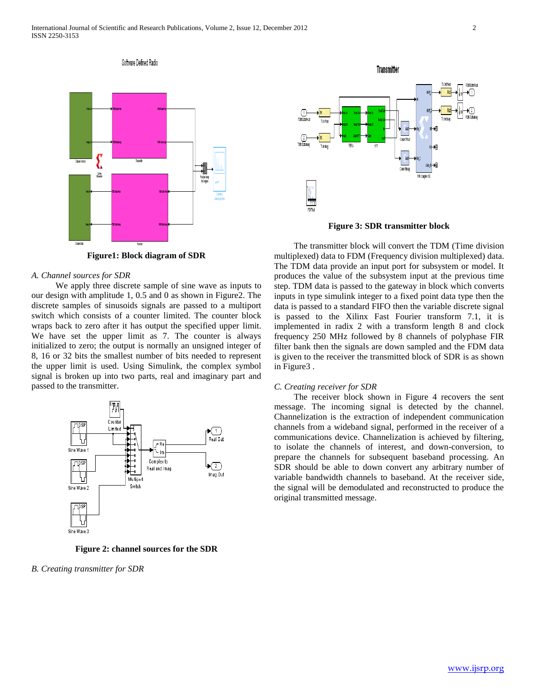

Software Defined Radio

**Figure1: Block diagram of SDR**

## *A. Channel sources for SDR*

 We apply three discrete sample of sine wave as inputs to our design with amplitude 1, 0.5 and 0 as shown in Figure2. The discrete samples of sinusoids signals are passed to a multiport switch which consists of a counter limited. The counter block wraps back to zero after it has output the specified upper limit. We have set the upper limit as 7. The counter is always initialized to zero; the output is normally an unsigned integer of 8, 16 or 32 bits the smallest number of bits needed to represent the upper limit is used. Using Simulink, the complex symbol signal is broken up into two parts, real and imaginary part and passed to the transmitter.



**Figure 2: channel sources for the SDR**

*B. Creating transmitter for SDR*



**Figure 3: SDR transmitter block**

 The transmitter block will convert the TDM (Time division multiplexed) data to FDM (Frequency division multiplexed) data. The TDM data provide an input port for subsystem or model. It produces the value of the subsystem input at the previous time step. TDM data is passed to the gateway in block which converts inputs in type simulink integer to a fixed point data type then the data is passed to a standard FIFO then the variable discrete signal is passed to the Xilinx Fast Fourier transform 7.1, it is implemented in radix 2 with a transform length 8 and clock frequency 250 MHz followed by 8 channels of polyphase FIR filter bank then the signals are down sampled and the FDM data is given to the receiver the transmitted block of SDR is as shown in Figure3 .

#### *C. Creating receiver for SDR*

 The receiver block shown in Figure 4 recovers the sent message. The incoming signal is detected by the channel. Channelization is the extraction of independent communication channels from a wideband signal, performed in the receiver of a communications device. Channelization is achieved by filtering, to isolate the channels of interest, and down-conversion, to prepare the channels for subsequent baseband processing. An SDR should be able to down convert any arbitrary number of variable bandwidth channels to baseband. At the receiver side, the signal will be demodulated and reconstructed to produce the original transmitted message.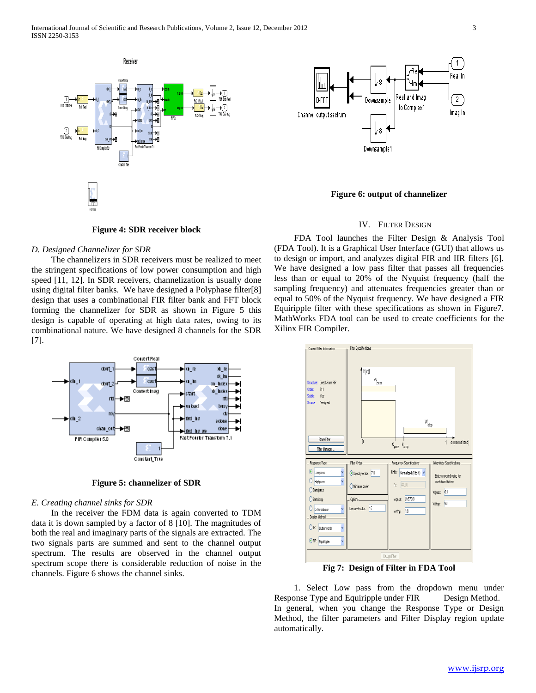



**Figure 6: output of channelizer**

## IV. FILTER DESIGN

## **Figure 4: SDR receiver block**

## *D. Designed Channelizer for SDR*

 The channelizers in SDR receivers must be realized to meet the stringent specifications of low power consumption and high speed [11, 12]. In SDR receivers, channelization is usually done using digital filter banks. We have designed a Polyphase filter[8] design that uses a combinational FIR filter bank and FFT block forming the channelizer for SDR as shown in Figure 5 this design is capable of operating at high data rates, owing to its combinational nature. We have designed 8 channels for the SDR [7].



**Figure 5: channelizer of SDR**

#### *E. Creating channel sinks for SDR*

 In the receiver the FDM data is again converted to TDM data it is down sampled by a factor of 8 [10]. The magnitudes of both the real and imaginary parts of the signals are extracted. The two signals parts are summed and sent to the channel output spectrum. The results are observed in the channel output spectrum scope there is considerable reduction of noise in the channels. Figure 6 shows the channel sinks.

 FDA Tool launches the Filter Design & Analysis Tool (FDA Tool). It is a Graphical User Interface (GUI) that allows us to design or import, and analyzes digital FIR and IIR filters [6]. We have designed a low pass filter that passes all frequencies less than or equal to 20% of the Nyquist frequency (half the sampling frequency) and attenuates frequencies greater than or equal to 50% of the Nyquist frequency. We have designed a FIR Equiripple filter with these specifications as shown in Figure7. MathWorks FDA tool can be used to create coefficients for the Xilinx FIR Compiler.



**Fig 7: Design of Filter in FDA Tool**

 1. Select Low pass from the dropdown menu under Response Type and Equiripple under FIR Design Method. In general, when you change the Response Type or Design Method, the filter parameters and Filter Display region update automatically.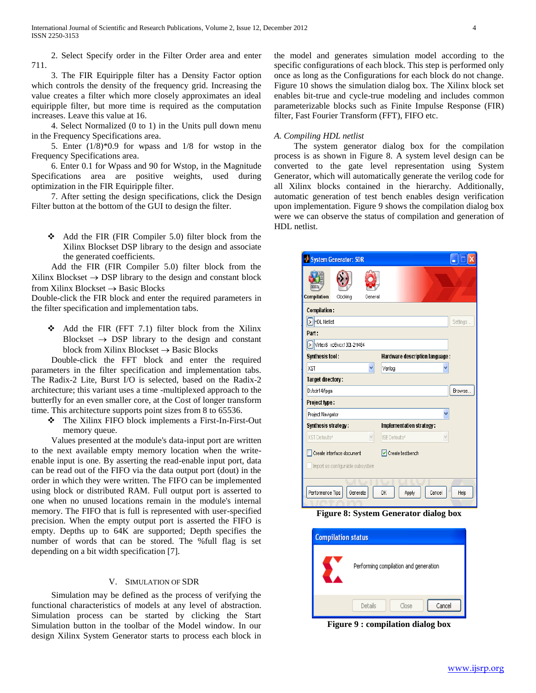2. Select Specify order in the Filter Order area and enter 711.

 3. The FIR Equiripple filter has a Density Factor option which controls the density of the frequency grid. Increasing the value creates a filter which more closely approximates an ideal equiripple filter, but more time is required as the computation increases. Leave this value at 16.

 4. Select Normalized (0 to 1) in the Units pull down menu in the Frequency Specifications area.

 5. Enter (1/8)\*0.9 for wpass and 1/8 for wstop in the Frequency Specifications area.

 6. Enter 0.1 for Wpass and 90 for Wstop, in the Magnitude Specifications area are positive weights, used during optimization in the FIR Equiripple filter.

 7. After setting the design specifications, click the Design Filter button at the bottom of the GUI to design the filter.

 $\triangleleft$  Add the FIR (FIR Compiler 5.0) filter block from the Xilinx Blockset DSP library to the design and associate the generated coefficients.

 Add the FIR (FIR Compiler 5.0) filter block from the Xilinx Blockset  $\rightarrow$  DSP library to the design and constant block from Xilinx Blockset  $\rightarrow$  Basic Blocks

Double-click the FIR block and enter the required parameters in the filter specification and implementation tabs.

 $\triangleleft$  Add the FIR (FFT 7.1) filter block from the Xilinx Blockset  $\rightarrow$  DSP library to the design and constant block from Xilinx Blockset  $\rightarrow$  Basic Blocks

 Double-click the FFT block and enter the required parameters in the filter specification and implementation tabs. The Radix-2 Lite, Burst I/O is selected, based on the Radix-2 architecture; this variant uses a time -multiplexed approach to the butterfly for an even smaller core, at the Cost of longer transform time. This architecture supports point sizes from 8 to 65536.

 The Xilinx FIFO block implements a First-In-First-Out memory queue.

 Values presented at the module's data-input port are written to the next available empty memory location when the writeenable input is one. By asserting the read-enable input port, data can be read out of the FIFO via the data output port (dout) in the order in which they were written. The FIFO can be implemented using block or distributed RAM. Full output port is asserted to one when no unused locations remain in the module's internal memory. The FIFO that is full is represented with user-specified precision. When the empty output port is asserted the FIFO is empty. Depths up to 64K are supported; Depth specifies the number of words that can be stored. The %full flag is set depending on a bit width specification [7].

## V. SIMULATION OF SDR

 Simulation may be defined as the process of verifying the functional characteristics of models at any level of abstraction. Simulation process can be started by clicking the Start Simulation button in the toolbar of the Model window. In our design Xilinx System Generator starts to process each block in the model and generates simulation model according to the specific configurations of each block. This step is performed only once as long as the Configurations for each block do not change. Figure 10 shows the simulation dialog box. The Xilinx block set enables bit-true and cycle-true modeling and includes common parameterizable blocks such as Finite Impulse Response (FIR) filter, Fast Fourier Transform (FFT), FIFO etc.

### *A. Compiling HDL netlist*

 The system generator dialog box for the compilation process is as shown in Figure 8. A system level design can be converted to the gate level representation using System Generator, which will automatically generate the verilog code for all Xilinx blocks contained in the hierarchy. Additionally, automatic generation of test bench enables design verification upon implementation. Figure 9 shows the compilation dialog box were we can observe the status of compilation and generation of HDL netlist.

| System Generator: SDR<br>н  |                                                               |         |                          |          |  |  |  |  |
|-----------------------------|---------------------------------------------------------------|---------|--------------------------|----------|--|--|--|--|
| 110<br>0.000<br>0001        |                                                               |         |                          |          |  |  |  |  |
| Compilation                 | Clocking                                                      | General |                          |          |  |  |  |  |
| <b>Compilation:</b>         |                                                               |         |                          |          |  |  |  |  |
| > HDL Netlist               |                                                               |         |                          | Settings |  |  |  |  |
| Part:                       |                                                               |         |                          |          |  |  |  |  |
| > Virtex6 xc6vcx130t-2ff484 |                                                               |         |                          |          |  |  |  |  |
| <b>Synthesis tool:</b>      | Hardware description language:                                |         |                          |          |  |  |  |  |
| <b>XST</b>                  |                                                               |         | Verilog                  |          |  |  |  |  |
| Target directory:           |                                                               |         |                          |          |  |  |  |  |
| D:/sdr14/fpga               |                                                               |         |                          | Browse.  |  |  |  |  |
| Project type:               |                                                               |         |                          |          |  |  |  |  |
| Project Navigator           |                                                               |         |                          |          |  |  |  |  |
| Synthesis strategy:         |                                                               |         | Implementation strategy: |          |  |  |  |  |
| XST Defaults*               |                                                               | v       | ISE Defaults*            |          |  |  |  |  |
|                             | Create interface document<br>Import as configurable subsystem |         | $ v $ Create testbench   |          |  |  |  |  |
| Performance Tips            | Generate                                                      |         | OK<br>Cancel<br>Apply    | Help     |  |  |  |  |

**Figure 8: System Generator dialog box**

| <b>Compilation status</b> |                                       |  |  |  |  |  |  |  |
|---------------------------|---------------------------------------|--|--|--|--|--|--|--|
|                           | Performing compilation and generation |  |  |  |  |  |  |  |
|                           | Close<br>Details<br>Cancel            |  |  |  |  |  |  |  |

**Figure 9 : compilation dialog box**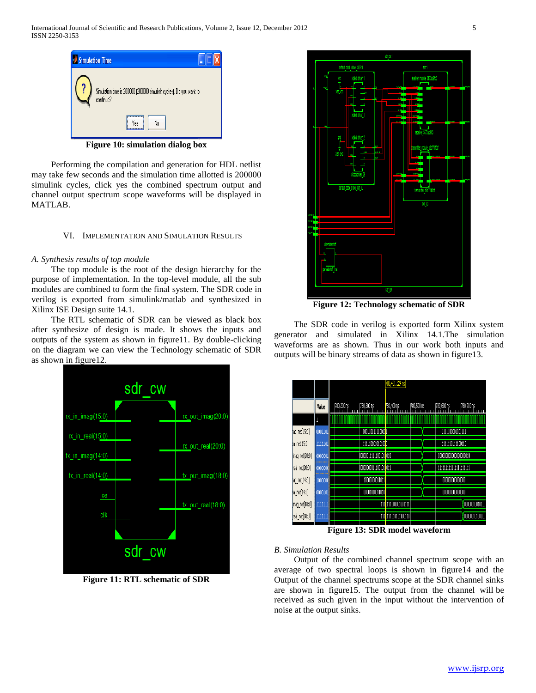

**Figure 10: simulation dialog box**

 Performing the compilation and generation for HDL netlist may take few seconds and the simulation time allotted is 200000 simulink cycles, click yes the combined spectrum output and channel output spectrum scope waveforms will be displayed in MATLAB.

## VI. IMPLEMENTATION AND SIMULATION RESULTS

## *A. Synthesis results of top module*

 The top module is the root of the design hierarchy for the purpose of implementation. In the top-level module, all the sub modules are combined to form the final system. The SDR code in verilog is exported from simulink/matlab and synthesized in Xilinx ISE Design suite 14.1.

 The RTL schematic of SDR can be viewed as black box after synthesize of design is made. It shows the inputs and outputs of the system as shown in figure11. By double-clicking on the diagram we can view the Technology schematic of SDR as shown in figure12.



**Figure 11: RTL schematic of SDR**



**Figure 12: Technology schematic of SDR**

 The SDR code in verilog is exported form Xilinx system generator and simulated in Xilinx 14.1.The simulation waveforms are as shown. Thus in our work both inputs and outputs will be binary streams of data as shown in figure13.

|                 |               | 780,401.324 ns |                                      |                     |             |                  |              |
|-----------------|---------------|----------------|--------------------------------------|---------------------|-------------|------------------|--------------|
|                 | Value         | 780,200 ns     | 780,300 ns                           | 780,400 ns          | [780,500 ns | 1780,600 ns      | 1780,700 ns  |
|                 | l             |                |                                      |                     |             |                  |              |
| ag_net[15:0]    | 0001101       |                | 0001101111100101                     |                     |             | 1111100001001111 |              |
| al_net[15:0]    | 1111101       |                | 1111101010101000                     |                     |             | 1111110111100110 |              |
| [mag_net[20:0]  | 0000001       |                | 0000001111100101 <mark>.</mark> 010  |                     |             |                  |              |
| real_net[20:0]  | 0000000       |                | 00000000011100101 <mark>1</mark> 011 |                     |             |                  |              |
| ag_net[14:0]    | 100000C       |                | 100000000110110                      |                     |             | 00000000000000   |              |
| al_net[14:0]    | 1000101       |                | 00001010011010                       |                     |             | 00000000000000   |              |
| (imag_net[18:0] | uuul          |                |                                      | 1111111100001001111 |             |                  | 000000100101 |
| real_net[18:0]  | $\frac{1}{1}$ |                |                                      | 1111111110111100110 |             |                  | 000000101000 |

**Figure 13: SDR model waveform**

## *B. Simulation Results*

 Output of the combined channel spectrum scope with an average of two spectral loops is shown in figure14 and the Output of the channel spectrums scope at the SDR channel sinks are shown in figure15. The output from the channel will be received as such given in the input without the intervention of noise at the output sinks.